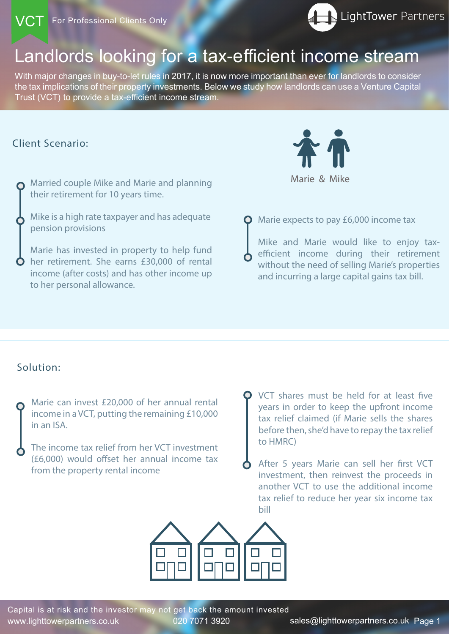# Landlords looking for a tax-efficient income stream

www.lighttowerpartners.co.uk 020 7071 3920 sales@lighttowerpartners.co.uk Page 1 Capital is at risk and the investor may not get back the amount invested

With major changes in buy-to-let rules in 2017, it is now more important than ever for landlords to consider the tax implications of their property investments. Below we study how landlords can use a Venture Capital Trust (VCT) to provide a tax-efficient income stream.

## Client Scenario:

Marie can invest £20,000 of her annual rental income in a VCT, putting the remaining £10,000 in an ISA.



The income tax relief from her VCT investment (£6,000) would offset her annual income tax from the property rental income

Mike and Marie would like to enjoy taxefficient income during their retirement without the need of selling Marie's properties and incurring a large capital gains tax bill.

Married couple Mike and Marie and planning their retirement for 10 years time.

Mike is a high rate taxpayer and has adequate pension provisions

Marie has invested in property to help fund her retirement. She earns £30,000 of rental income (after costs) and has other income up to her personal allowance.

**Q** Marie expects to pay £6,000 income tax

VCT shares must be held for at least five years in order to keep the upfront income tax relief claimed (if Marie sells the shares before then, she'd have to repay the tax relief to HMRC)

After 5 years Marie can sell her first VCT investment, then reinvest the proceeds in

another VCT to use the additional income tax relief to reduce her year six income tax bill



## Solution: